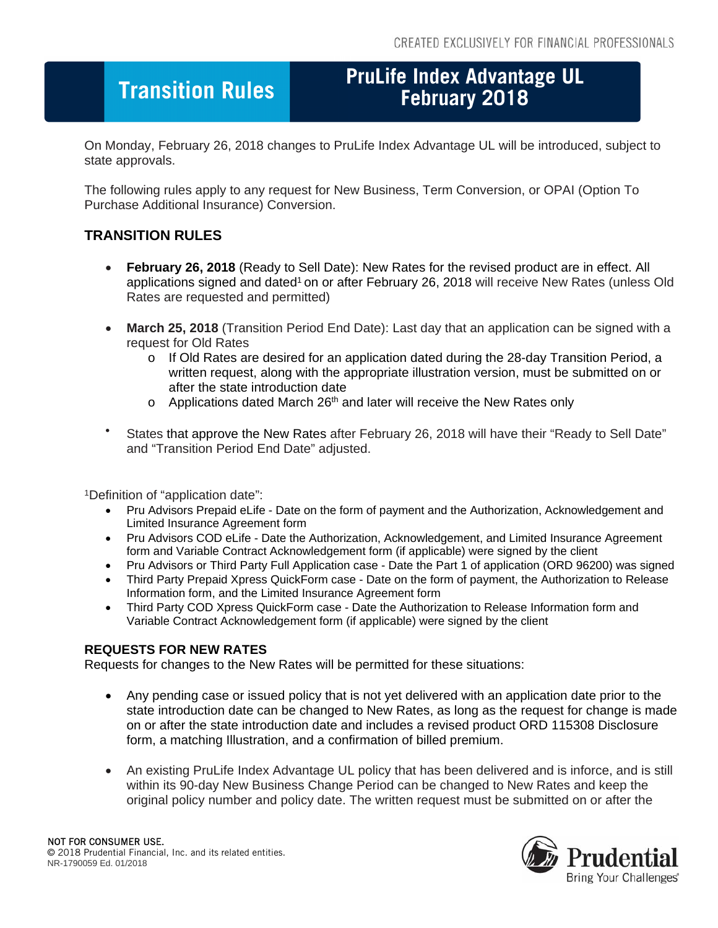## **Fransition Rules**

# **PruLife Index Advantage UL**

On Monday, February 26, 2018 changes to PruLife Index Advantage UL will be introduced, subject to state approvals.

The following rules apply to any request for New Business, Term Conversion, or OPAI (Option To Purchase Additional Insurance) Conversion.

### **TRANSITION RULES**

- **February 26, 2018** (Ready to Sell Date): New Rates for the revised product are in effect. All applications signed and dated<sup>1</sup> on or after February 26, 2018 will receive New Rates (unless Old Rates are requested and permitted)
- **March 25, 2018** (Transition Period End Date): Last day that an application can be signed with a request for Old Rates
	- o If Old Rates are desired for an application dated during the 28-day Transition Period, a written request, along with the appropriate illustration version, must be submitted on or after the state introduction date
	- $\circ$  Applications dated March 26<sup>th</sup> and later will receive the New Rates only
- States that approve the New Rates after February 26, 2018 will have their "Ready to Sell Date" and "Transition Period End Date" adjusted.

1Definition of "application date":

- Pru Advisors Prepaid eLife Date on the form of payment and the Authorization, Acknowledgement and Limited Insurance Agreement form
- Pru Advisors COD eLife Date the Authorization, Acknowledgement, and Limited Insurance Agreement form and Variable Contract Acknowledgement form (if applicable) were signed by the client
- Pru Advisors or Third Party Full Application case Date the Part 1 of application (ORD 96200) was signed
- Third Party Prepaid Xpress QuickForm case Date on the form of payment, the Authorization to Release Information form, and the Limited Insurance Agreement form
- Third Party COD Xpress QuickForm case Date the Authorization to Release Information form and Variable Contract Acknowledgement form (if applicable) were signed by the client

#### **REQUESTS FOR NEW RATES**

Requests for changes to the New Rates will be permitted for these situations:

- Any pending case or issued policy that is not yet delivered with an application date prior to the state introduction date can be changed to New Rates, as long as the request for change is made on or after the state introduction date and includes a revised product ORD 115308 Disclosure form, a matching Illustration, and a confirmation of billed premium.
- An existing PruLife Index Advantage UL policy that has been delivered and is inforce, and is still within its 90-day New Business Change Period can be changed to New Rates and keep the original policy number and policy date. The written request must be submitted on or after the